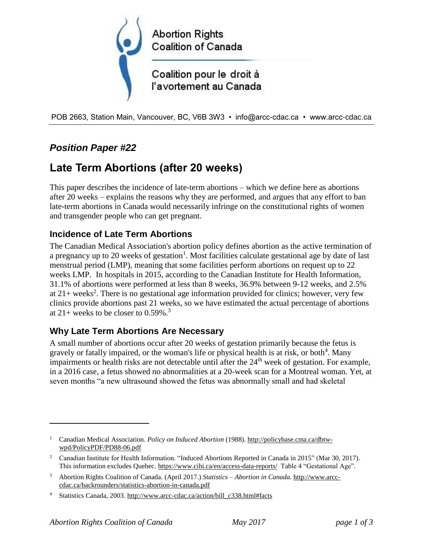

POB 2663, Station Main, Vancouver, BC, V6B 3W3 • info@arcc-cdac.ca • www.arcc-cdac.ca

# *Position Paper #22*

# **Late Term Abortions (after 20 weeks)**

This paper describes the incidence of late-term abortions – which we define here as abortions after 20 weeks – explains the reasons why they are performed, and argues that any effort to ban late-term abortions in Canada would necessarily infringe on the constitutional rights of women and transgender people who can get pregnant.

### **Incidence of Late Term Abortions**

The Canadian Medical Association's abortion policy defines abortion as the active termination of a pregnancy up to 20 weeks of gestation<sup>1</sup>. Most facilities calculate gestational age by date of last menstrual period (LMP), meaning that some facilities perform abortions on request up to 22 weeks LMP. In hospitals in 2015, according to the Canadian Institute for Health Information, 31.1% of abortions were performed at less than 8 weeks, 36.9% between 9-12 weeks, and 2.5% at  $21+$  weeks<sup>2</sup>. There is no gestational age information provided for clinics; however, very few clinics provide abortions past 21 weeks, so we have estimated the actual percentage of abortions at  $21+$  weeks to be closer to 0.59%.<sup>3</sup>

#### **Why Late Term Abortions Are Necessary**

A small number of abortions occur after 20 weeks of gestation primarily because the fetus is gravely or fatally impaired, or the woman's life or physical health is at risk, or both<sup>4</sup>. Many impairments or health risks are not detectable until after the  $24<sup>th</sup>$  week of gestation. For example, in a 2016 case, a fetus showed no abnormalities at a 20-week scan for a Montreal woman. Yet, at seven months "a new ultrasound showed the fetus was abnormally small and had skeletal

 $\overline{a}$ 

<sup>1</sup> Canadian Medical Association. *Policy on Induced Abortion* (1988). [http://policybase.cma.ca/dbtw](http://policybase.cma.ca/dbtw-wpd/PolicyPDF/PD88-06.pdf)[wpd/PolicyPDF/PD88-06.pdf](http://policybase.cma.ca/dbtw-wpd/PolicyPDF/PD88-06.pdf)

<sup>&</sup>lt;sup>2</sup> Canadian Institute for Health Information. "Induced Abortions Reported in Canada in 2015" (Mar 30, 2017). This information excludes Quebec[. https://www.cihi.ca/en/access-data-reports/](https://www.cihi.ca/en/access-data-reports/) Table 4 "Gestational Age".

<sup>3</sup> Abortion Rights Coalition of Canada. (April 2017.) *Statistics – Abortion in Canada.* [http://www.arcc](http://www.arcc-cdac.ca/backrounders/statistics-abortion-in-canada.pdf)[cdac.ca/backrounders/statistics-abortion-in-canada.pdf](http://www.arcc-cdac.ca/backrounders/statistics-abortion-in-canada.pdf)

<sup>4</sup> Statistics Canada, 2003. [http://www.arcc-cdac.ca/action/bill\\_c338.html#facts](http://www.arcc-cdac.ca/action/bill_c338.html#facts)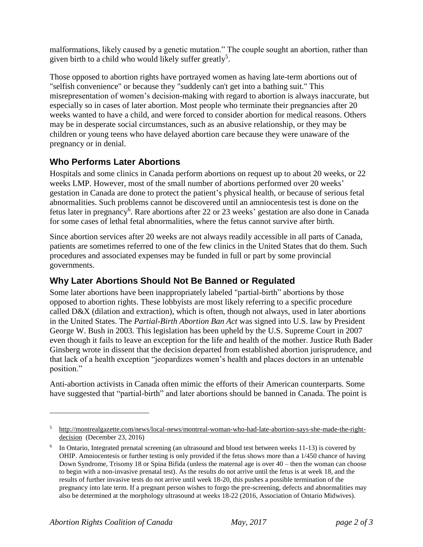malformations, likely caused by a genetic mutation." The couple sought an abortion, rather than given birth to a child who would likely suffer greatly<sup>5</sup>.

Those opposed to abortion rights have portrayed women as having late-term abortions out of "selfish convenience" or because they "suddenly can't get into a bathing suit." This misrepresentation of women's decision-making with regard to abortion is always inaccurate, but especially so in cases of later abortion. Most people who terminate their pregnancies after 20 weeks wanted to have a child, and were forced to consider abortion for medical reasons. Others may be in desperate social circumstances, such as an abusive relationship, or they may be children or young teens who have delayed abortion care because they were unaware of the pregnancy or in denial.

## **Who Performs Later Abortions**

Hospitals and some clinics in Canada perform abortions on request up to about 20 weeks, or 22 weeks LMP. However, most of the small number of abortions performed over 20 weeks' gestation in Canada are done to protect the patient's physical health, or because of serious fetal abnormalities. Such problems cannot be discovered until an amniocentesis test is done on the fetus later in pregnancy<sup>6</sup>. Rare abortions after 22 or 23 weeks' gestation are also done in Canada for some cases of lethal fetal abnormalities, where the fetus cannot survive after birth.

Since abortion services after 20 weeks are not always readily accessible in all parts of Canada, patients are sometimes referred to one of the few clinics in the United States that do them. Such procedures and associated expenses may be funded in full or part by some provincial governments.

## **Why Later Abortions Should Not Be Banned or Regulated**

Some later abortions have been inappropriately labeled "partial-birth" abortions by those opposed to abortion rights. These lobbyists are most likely referring to a specific procedure called D&X (dilation and extraction), which is often, though not always, used in later abortions in the United States. The *Partial-Birth Abortion Ban Act* was signed into U.S. law by President George W. Bush in 2003. This legislation has been upheld by the U.S. Supreme Court in 2007 even though it fails to leave an exception for the life and health of the mother. Justice Ruth Bader Ginsberg wrote in dissent that the decision departed from established abortion jurisprudence, and that lack of a health exception "jeopardizes women's health and places doctors in an untenable position."

Anti-abortion activists in Canada often mimic the efforts of their American counterparts. Some have suggested that "partial-birth" and later abortions should be banned in Canada. The point is

 $\overline{a}$ 

<sup>5</sup> [http://montrealgazette.com/news/local-news/montreal-woman-who-had-late-abortion-says-she-made-the-right](http://montrealgazette.com/news/local-news/montreal-woman-who-had-late-abortion-says-she-made-the-right-decision)[decision](http://montrealgazette.com/news/local-news/montreal-woman-who-had-late-abortion-says-she-made-the-right-decision) (December 23, 2016)

<sup>&</sup>lt;sup>6</sup> In Ontario, Integrated prenatal screening (an ultrasound and blood test between weeks 11-13) is covered by OHIP. Amniocentesis or further testing is only provided if the fetus shows more than a 1/450 chance of having Down Syndrome, Trisomy 18 or Spina Bifida (unless the maternal age is over 40 – then the woman can choose to begin with a non-invasive prenatal test). As the results do not arrive until the fetus is at week 18, and the results of further invasive tests do not arrive until week 18-20, this pushes a possible termination of the pregnancy into late term. If a pregnant person wishes to forgo the pre-screening, defects and abnormalities may also be determined at the morphology ultrasound at weeks 18-22 (2016, Association of Ontario Midwives).